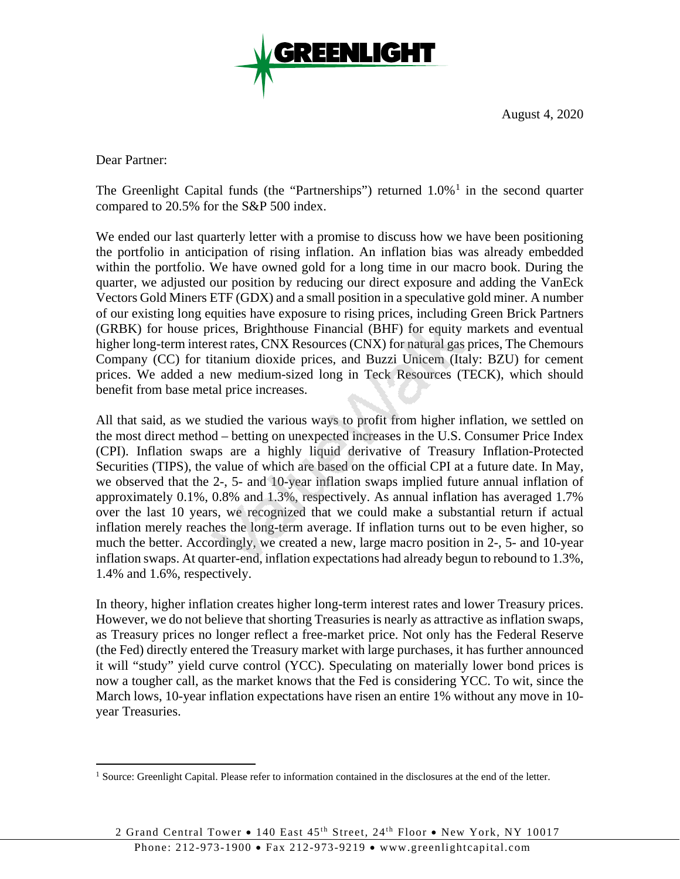

August 4, 2020

Dear Partner:

The Greenlight Capital funds (the "Partnerships") returned  $1.0\%$  $1.0\%$ <sup>1</sup> in the second quarter compared to 20.5% for the S&P 500 index.

We ended our last quarterly letter with a promise to discuss how we have been positioning the portfolio in anticipation of rising inflation. An inflation bias was already embedded within the portfolio. We have owned gold for a long time in our macro book. During the quarter, we adjusted our position by reducing our direct exposure and adding the VanEck Vectors Gold Miners ETF (GDX) and a small position in a speculative gold miner. A number of our existing long equities have exposure to rising prices, including Green Brick Partners (GRBK) for house prices, Brighthouse Financial (BHF) for equity markets and eventual higher long-term interest rates, CNX Resources (CNX) for natural gas prices, The Chemours Company (CC) for titanium dioxide prices, and Buzzi Unicem (Italy: BZU) for cement prices. We added a new medium-sized long in Teck Resources (TECK), which should benefit from base metal price increases.

All that said, as we studied the various ways to profit from higher inflation, we settled on the most direct method – betting on unexpected increases in the U.S. Consumer Price Index (CPI). Inflation swaps are a highly liquid derivative of Treasury Inflation-Protected Securities (TIPS), the value of which are based on the official CPI at a future date. In May, we observed that the 2-, 5- and 10-year inflation swaps implied future annual inflation of approximately 0.1%, 0.8% and 1.3%, respectively. As annual inflation has averaged 1.7% over the last 10 years, we recognized that we could make a substantial return if actual inflation merely reaches the long-term average. If inflation turns out to be even higher, so much the better. Accordingly, we created a new, large macro position in 2-, 5- and 10-year inflation swaps. At quarter-end, inflation expectations had already begun to rebound to 1.3%, 1.4% and 1.6%, respectively.

In theory, higher inflation creates higher long-term interest rates and lower Treasury prices. However, we do not believe that shorting Treasuries is nearly as attractive as inflation swaps, as Treasury prices no longer reflect a free-market price. Not only has the Federal Reserve (the Fed) directly entered the Treasury market with large purchases, it has further announced it will "study" yield curve control (YCC). Speculating on materially lower bond prices is now a tougher call, as the market knows that the Fed is considering YCC. To wit, since the March lows, 10-year inflation expectations have risen an entire 1% without any move in 10 year Treasuries.

<span id="page-0-0"></span><sup>&</sup>lt;sup>1</sup> Source: Greenlight Capital. Please refer to information contained in the disclosures at the end of the letter.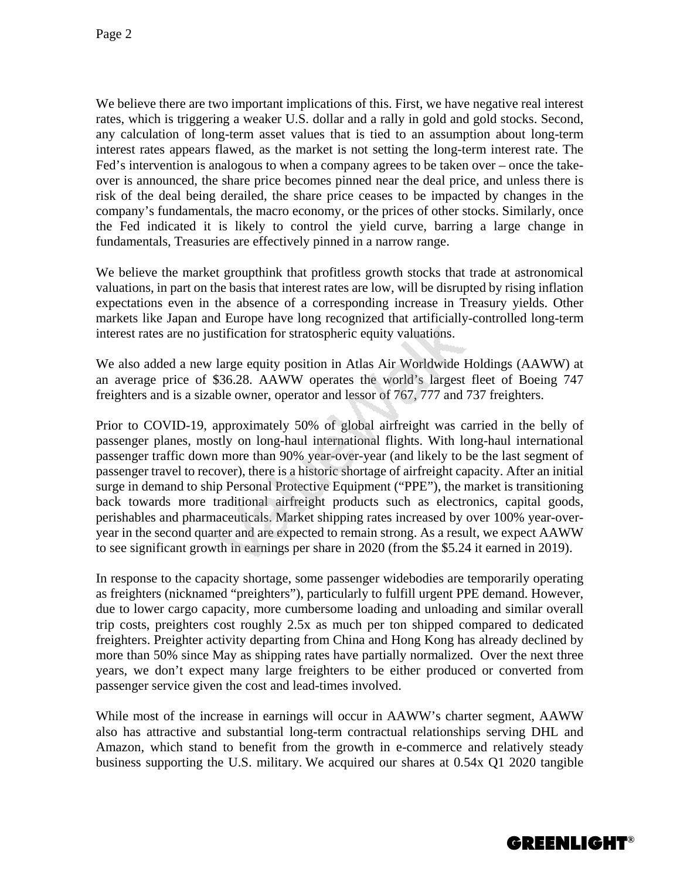We believe there are two important implications of this. First, we have negative real interest rates, which is triggering a weaker U.S. dollar and a rally in gold and gold stocks. Second, any calculation of long-term asset values that is tied to an assumption about long-term interest rates appears flawed, as the market is not setting the long-term interest rate. The Fed's intervention is analogous to when a company agrees to be taken over – once the takeover is announced, the share price becomes pinned near the deal price, and unless there is risk of the deal being derailed, the share price ceases to be impacted by changes in the company's fundamentals, the macro economy, or the prices of other stocks. Similarly, once the Fed indicated it is likely to control the yield curve, barring a large change in fundamentals, Treasuries are effectively pinned in a narrow range.

We believe the market groupthink that profitless growth stocks that trade at astronomical valuations, in part on the basis that interest rates are low, will be disrupted by rising inflation expectations even in the absence of a corresponding increase in Treasury yields. Other markets like Japan and Europe have long recognized that artificially-controlled long-term interest rates are no justification for stratospheric equity valuations.

We also added a new large equity position in Atlas Air Worldwide Holdings (AAWW) at an average price of \$36.28. AAWW operates the world's largest fleet of Boeing 747 freighters and is a sizable owner, operator and lessor of 767, 777 and 737 freighters.

Prior to COVID-19, approximately 50% of global airfreight was carried in the belly of passenger planes, mostly on long-haul international flights. With long-haul international passenger traffic down more than 90% year-over-year (and likely to be the last segment of passenger travel to recover), there is a historic shortage of airfreight capacity. After an initial surge in demand to ship Personal Protective Equipment ("PPE"), the market is transitioning back towards more traditional airfreight products such as electronics, capital goods, perishables and pharmaceuticals. Market shipping rates increased by over 100% year-overyear in the second quarter and are expected to remain strong. As a result, we expect AAWW to see significant growth in earnings per share in 2020 (from the \$5.24 it earned in 2019).

In response to the capacity shortage, some passenger widebodies are temporarily operating as freighters (nicknamed "preighters"), particularly to fulfill urgent PPE demand. However, due to lower cargo capacity, more cumbersome loading and unloading and similar overall trip costs, preighters cost roughly 2.5x as much per ton shipped compared to dedicated freighters. Preighter activity departing from China and Hong Kong has already declined by more than 50% since May as shipping rates have partially normalized. Over the next three years, we don't expect many large freighters to be either produced or converted from passenger service given the cost and lead-times involved.

While most of the increase in earnings will occur in AAWW's charter segment, AAWW also has attractive and substantial long-term contractual relationships serving DHL and Amazon, which stand to benefit from the growth in e-commerce and relatively steady business supporting the U.S. military. We acquired our shares at 0.54x Q1 2020 tangible

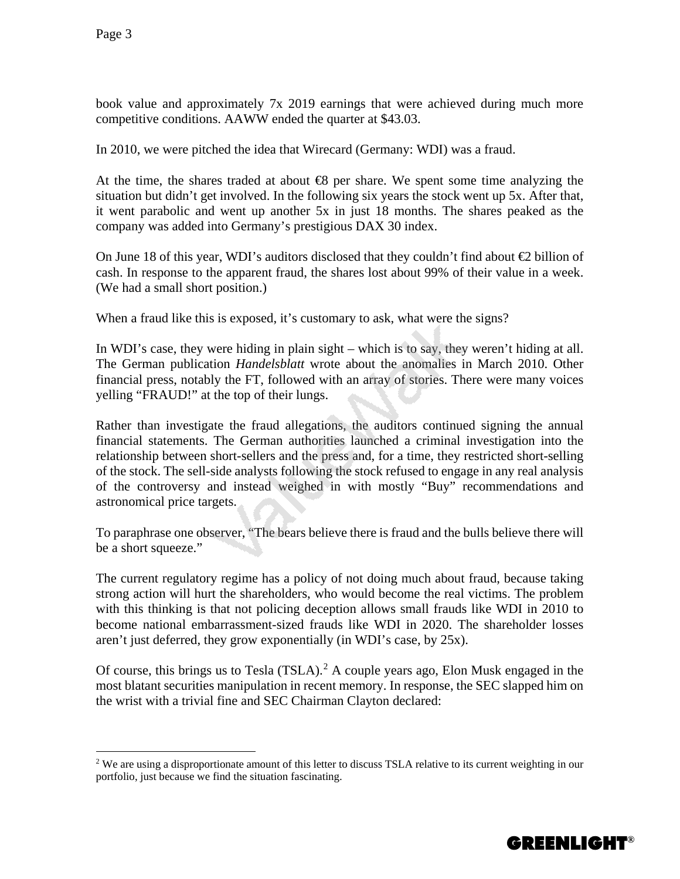book value and approximately 7x 2019 earnings that were achieved during much more competitive conditions. AAWW ended the quarter at \$43.03.

In 2010, we were pitched the idea that Wirecard (Germany: WDI) was a fraud.

At the time, the shares traded at about  $\bigoplus$  per share. We spent some time analyzing the situation but didn't get involved. In the following six years the stock went up 5x. After that, it went parabolic and went up another 5x in just 18 months. The shares peaked as the company was added into Germany's prestigious DAX 30 index.

On June 18 of this year, WDI's auditors disclosed that they couldn't find about  $\bigoplus$  billion of cash. In response to the apparent fraud, the shares lost about 99% of their value in a week. (We had a small short position.)

When a fraud like this is exposed, it's customary to ask, what were the signs?

In WDI's case, they were hiding in plain sight – which is to say, they weren't hiding at all. The German publication *Handelsblatt* wrote about the anomalies in March 2010. Other financial press, notably the FT, followed with an array of stories. There were many voices yelling "FRAUD!" at the top of their lungs.

Rather than investigate the fraud allegations, the auditors continued signing the annual financial statements. The German authorities launched a criminal investigation into the relationship between short-sellers and the press and, for a time, they restricted short-selling of the stock. The sell-side analysts following the stock refused to engage in any real analysis of the controversy and instead weighed in with mostly "Buy" recommendations and astronomical price targets.

To paraphrase one observer, "The bears believe there is fraud and the bulls believe there will be a short squeeze."

The current regulatory regime has a policy of not doing much about fraud, because taking strong action will hurt the shareholders, who would become the real victims. The problem with this thinking is that not policing deception allows small frauds like WDI in 2010 to become national embarrassment-sized frauds like WDI in 2020. The shareholder losses aren't just deferred, they grow exponentially (in WDI's case, by 25x).

Of course, this brings us to Tesla (TSLA).<sup>[2](#page-2-0)</sup> A couple years ago, Elon Musk engaged in the most blatant securities manipulation in recent memory. In response, the SEC slapped him on the wrist with a trivial fine and SEC Chairman Clayton declared:



<span id="page-2-0"></span><sup>&</sup>lt;sup>2</sup> We are using a disproportionate amount of this letter to discuss TSLA relative to its current weighting in our portfolio, just because we find the situation fascinating.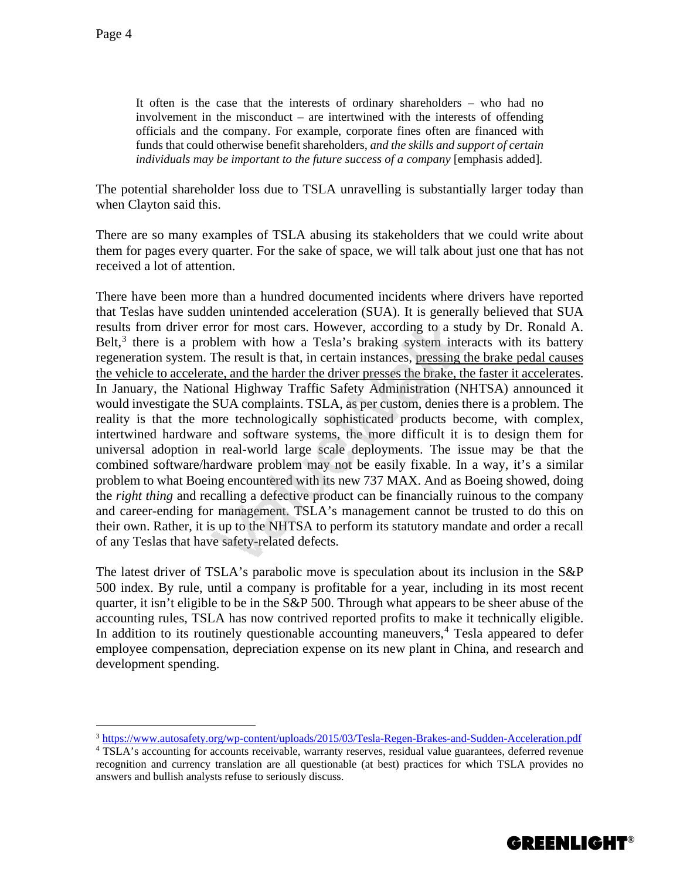It often is the case that the interests of ordinary shareholders – who had no involvement in the misconduct – are intertwined with the interests of offending officials and the company. For example, corporate fines often are financed with funds that could otherwise benefit shareholders, *and the skills and support of certain individuals may be important to the future success of a company* [emphasis added].

The potential shareholder loss due to TSLA unravelling is substantially larger today than when Clayton said this.

There are so many examples of TSLA abusing its stakeholders that we could write about them for pages every quarter. For the sake of space, we will talk about just one that has not received a lot of attention.

There have been more than a hundred documented incidents where drivers have reported that Teslas have sudden unintended acceleration (SUA). It is generally believed that SUA results from driver error for most cars. However, according to a study by Dr. Ronald A. Belt, $3$  there is a problem with how a Tesla's braking system interacts with its battery regeneration system. The result is that, in certain instances, pressing the brake pedal causes the vehicle to accelerate, and the harder the driver presses the brake, the faster it accelerates. In January, the National Highway Traffic Safety Administration (NHTSA) announced it would investigate the SUA complaints. TSLA, as per custom, denies there is a problem. The reality is that the more technologically sophisticated products become, with complex, intertwined hardware and software systems, the more difficult it is to design them for universal adoption in real-world large scale deployments. The issue may be that the combined software/hardware problem may not be easily fixable. In a way, it's a similar problem to what Boeing encountered with its new 737 MAX. And as Boeing showed, doing the *right thing* and recalling a defective product can be financially ruinous to the company and career-ending for management. TSLA's management cannot be trusted to do this on their own. Rather, it is up to the NHTSA to perform its statutory mandate and order a recall of any Teslas that have safety-related defects.

The latest driver of TSLA's parabolic move is speculation about its inclusion in the S&P 500 index. By rule, until a company is profitable for a year, including in its most recent quarter, it isn't eligible to be in the S&P 500. Through what appears to be sheer abuse of the accounting rules, TSLA has now contrived reported profits to make it technically eligible. In addition to its routinely questionable accounting maneuvers, $4$  Tesla appeared to defer employee compensation, depreciation expense on its new plant in China, and research and development spending.



<span id="page-3-0"></span> <sup>3</sup> <https://www.autosafety.org/wp-content/uploads/2015/03/Tesla-Regen-Brakes-and-Sudden-Acceleration.pdf>

<span id="page-3-1"></span><sup>4</sup> TSLA's accounting for accounts receivable, warranty reserves, residual value guarantees, deferred revenue recognition and currency translation are all questionable (at best) practices for which TSLA provides no answers and bullish analysts refuse to seriously discuss.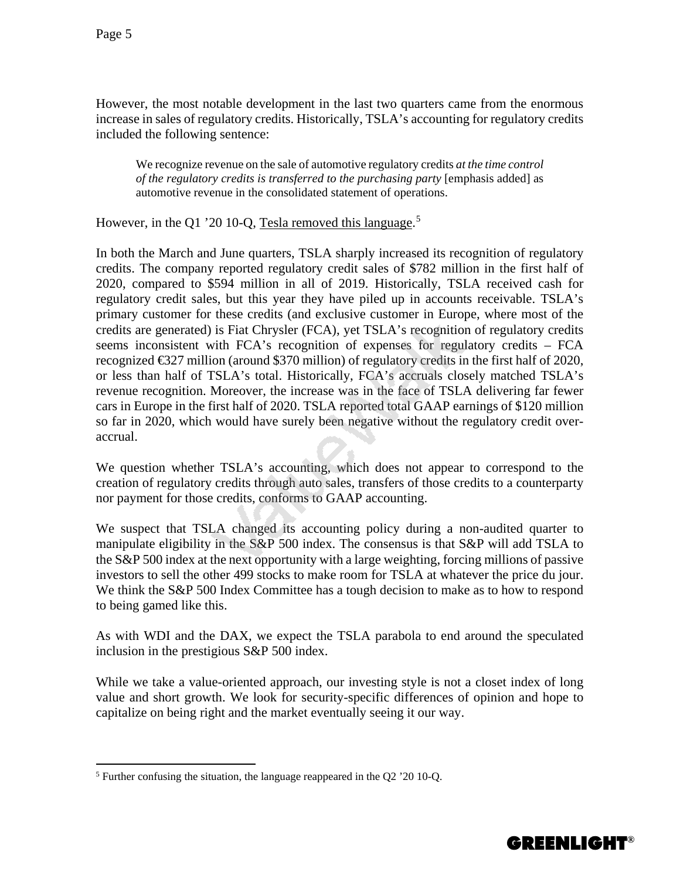However, the most notable development in the last two quarters came from the enormous increase in sales of regulatory credits. Historically, TSLA's accounting for regulatory credits included the following sentence:

We recognize revenue on the sale of automotive regulatory credits *at the time control of the regulatory credits is transferred to the purchasing party* [emphasis added] as automotive revenue in the consolidated statement of operations.

However, in the Q1 '20 10-Q, Tesla removed this language.<sup>[5](#page-4-0)</sup>

In both the March and June quarters, TSLA sharply increased its recognition of regulatory credits. The company reported regulatory credit sales of \$782 million in the first half of 2020, compared to \$594 million in all of 2019. Historically, TSLA received cash for regulatory credit sales, but this year they have piled up in accounts receivable. TSLA's primary customer for these credits (and exclusive customer in Europe, where most of the credits are generated) is Fiat Chrysler (FCA), yet TSLA's recognition of regulatory credits seems inconsistent with FCA's recognition of expenses for regulatory credits – FCA recognized €327 million (around \$370 million) of regulatory credits in the first half of 2020, or less than half of TSLA's total. Historically, FCA's accruals closely matched TSLA's revenue recognition. Moreover, the increase was in the face of TSLA delivering far fewer cars in Europe in the first half of 2020. TSLA reported total GAAP earnings of \$120 million so far in 2020, which would have surely been negative without the regulatory credit overaccrual.

We question whether TSLA's accounting, which does not appear to correspond to the creation of regulatory credits through auto sales, transfers of those credits to a counterparty nor payment for those credits, conforms to GAAP accounting.

We suspect that TSLA changed its accounting policy during a non-audited quarter to manipulate eligibility in the S&P 500 index. The consensus is that S&P will add TSLA to the S&P 500 index at the next opportunity with a large weighting, forcing millions of passive investors to sell the other 499 stocks to make room for TSLA at whatever the price du jour. We think the S&P 500 Index Committee has a tough decision to make as to how to respond to being gamed like this.

As with WDI and the DAX, we expect the TSLA parabola to end around the speculated inclusion in the prestigious S&P 500 index.

While we take a value-oriented approach, our investing style is not a closet index of long value and short growth. We look for security-specific differences of opinion and hope to capitalize on being right and the market eventually seeing it our way.



<span id="page-4-0"></span> <sup>5</sup> Further confusing the situation, the language reappeared in the Q2 '20 10-Q.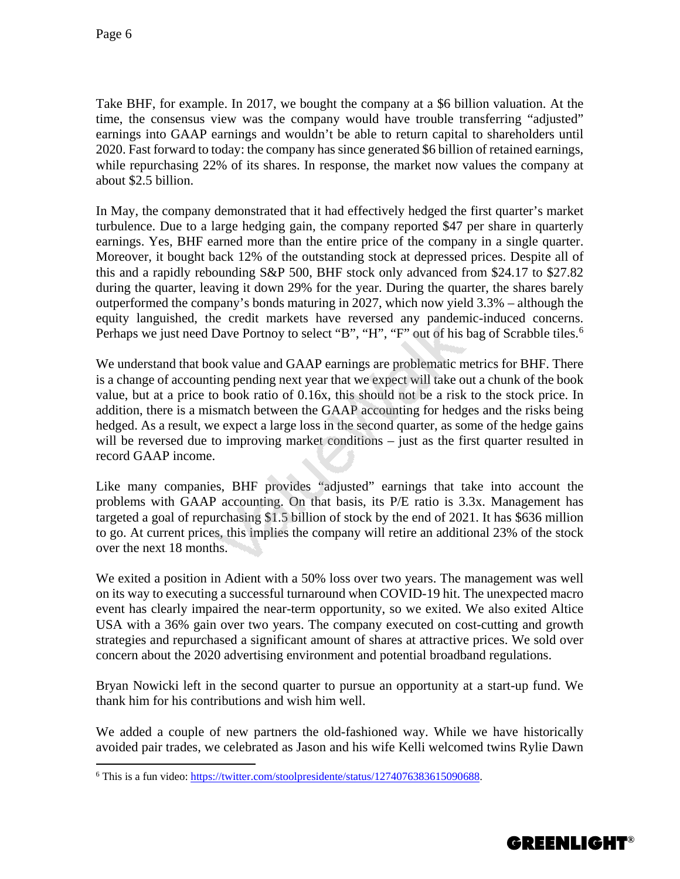Take BHF, for example. In 2017, we bought the company at a \$6 billion valuation. At the time, the consensus view was the company would have trouble transferring "adjusted" earnings into GAAP earnings and wouldn't be able to return capital to shareholders until 2020. Fast forward to today: the company has since generated \$6 billion of retained earnings, while repurchasing 22% of its shares. In response, the market now values the company at about \$2.5 billion.

In May, the company demonstrated that it had effectively hedged the first quarter's market turbulence. Due to a large hedging gain, the company reported \$47 per share in quarterly earnings. Yes, BHF earned more than the entire price of the company in a single quarter. Moreover, it bought back 12% of the outstanding stock at depressed prices. Despite all of this and a rapidly rebounding S&P 500, BHF stock only advanced from \$24.17 to \$27.82 during the quarter, leaving it down 29% for the year. During the quarter, the shares barely outperformed the company's bonds maturing in 2027, which now yield 3.3% – although the equity languished, the credit markets have reversed any pandemic-induced concerns. Perhaps we just need Dave Portnoy to select "B", "H", "F" out of his bag of Scrabble tiles.<sup>[6](#page-5-0)</sup>

We understand that book value and GAAP earnings are problematic metrics for BHF. There is a change of accounting pending next year that we expect will take out a chunk of the book value, but at a price to book ratio of 0.16x, this should not be a risk to the stock price. In addition, there is a mismatch between the GAAP accounting for hedges and the risks being hedged. As a result, we expect a large loss in the second quarter, as some of the hedge gains will be reversed due to improving market conditions – just as the first quarter resulted in record GAAP income.

Like many companies, BHF provides "adjusted" earnings that take into account the problems with GAAP accounting. On that basis, its P/E ratio is 3.3x. Management has targeted a goal of repurchasing \$1.5 billion of stock by the end of 2021. It has \$636 million to go. At current prices, this implies the company will retire an additional 23% of the stock over the next 18 months.

We exited a position in Adient with a 50% loss over two years. The management was well on its way to executing a successful turnaround when COVID-19 hit. The unexpected macro event has clearly impaired the near-term opportunity, so we exited. We also exited Altice USA with a 36% gain over two years. The company executed on cost-cutting and growth strategies and repurchased a significant amount of shares at attractive prices. We sold over concern about the 2020 advertising environment and potential broadband regulations.

Bryan Nowicki left in the second quarter to pursue an opportunity at a start-up fund. We thank him for his contributions and wish him well.

We added a couple of new partners the old-fashioned way. While we have historically avoided pair trades, we celebrated as Jason and his wife Kelli welcomed twins Rylie Dawn



<span id="page-5-0"></span> <sup>6</sup> This is a fun video: [https://twitter.com/stoolpresidente/status/1274076383615090688.](https://twitter.com/stoolpresidente/status/1274076383615090688)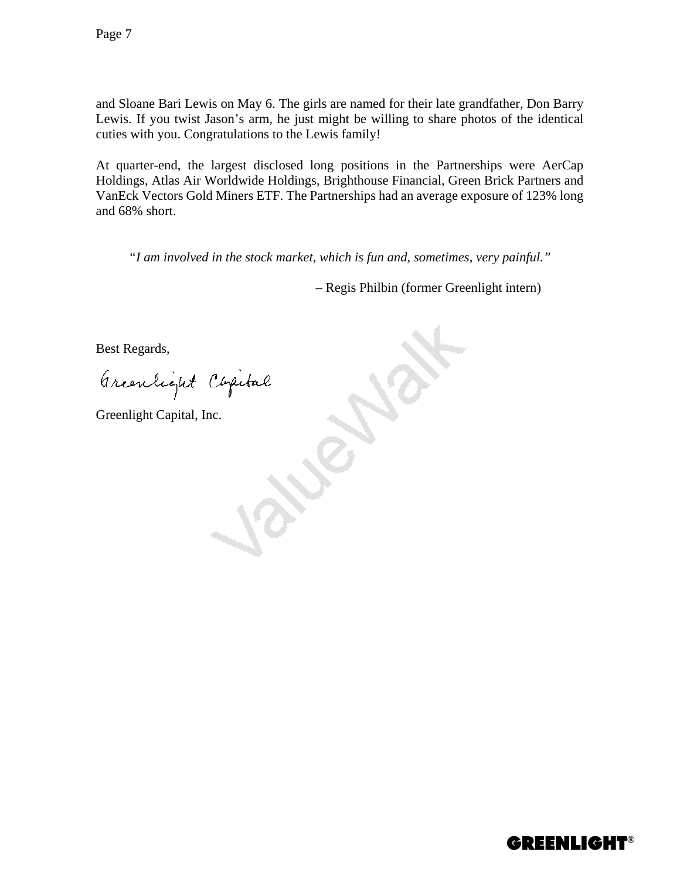and Sloane Bari Lewis on May 6. The girls are named for their late grandfather, Don Barry Lewis. If you twist Jason's arm, he just might be willing to share photos of the identical cuties with you. Congratulations to the Lewis family!

At quarter-end, the largest disclosed long positions in the Partnerships were AerCap Holdings, Atlas Air Worldwide Holdings, Brighthouse Financial, Green Brick Partners and VanEck Vectors Gold Miners ETF. The Partnerships had an average exposure of 123% long and 68% short.

*"I am involved in the stock market, which is fun and, sometimes, very painful."*

– Regis Philbin (former Greenlight intern)

Best Regards,

Greenlight Capital

Greenlight Capital, Inc.